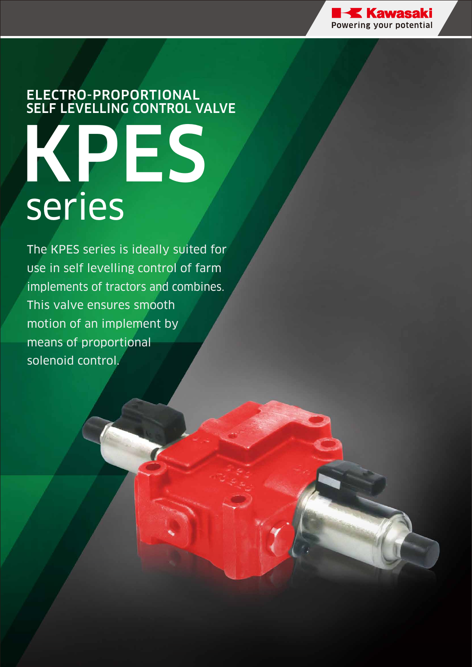

# ELECTRO-PROPORTIONAL SELF LEVELLING CONTROL VALVE KPES series

The KPES series is ideally suited for use in self levelling control of farm implements of tractors and combines. This valve ensures smooth motion of an implement by means of proportional solenoid control.